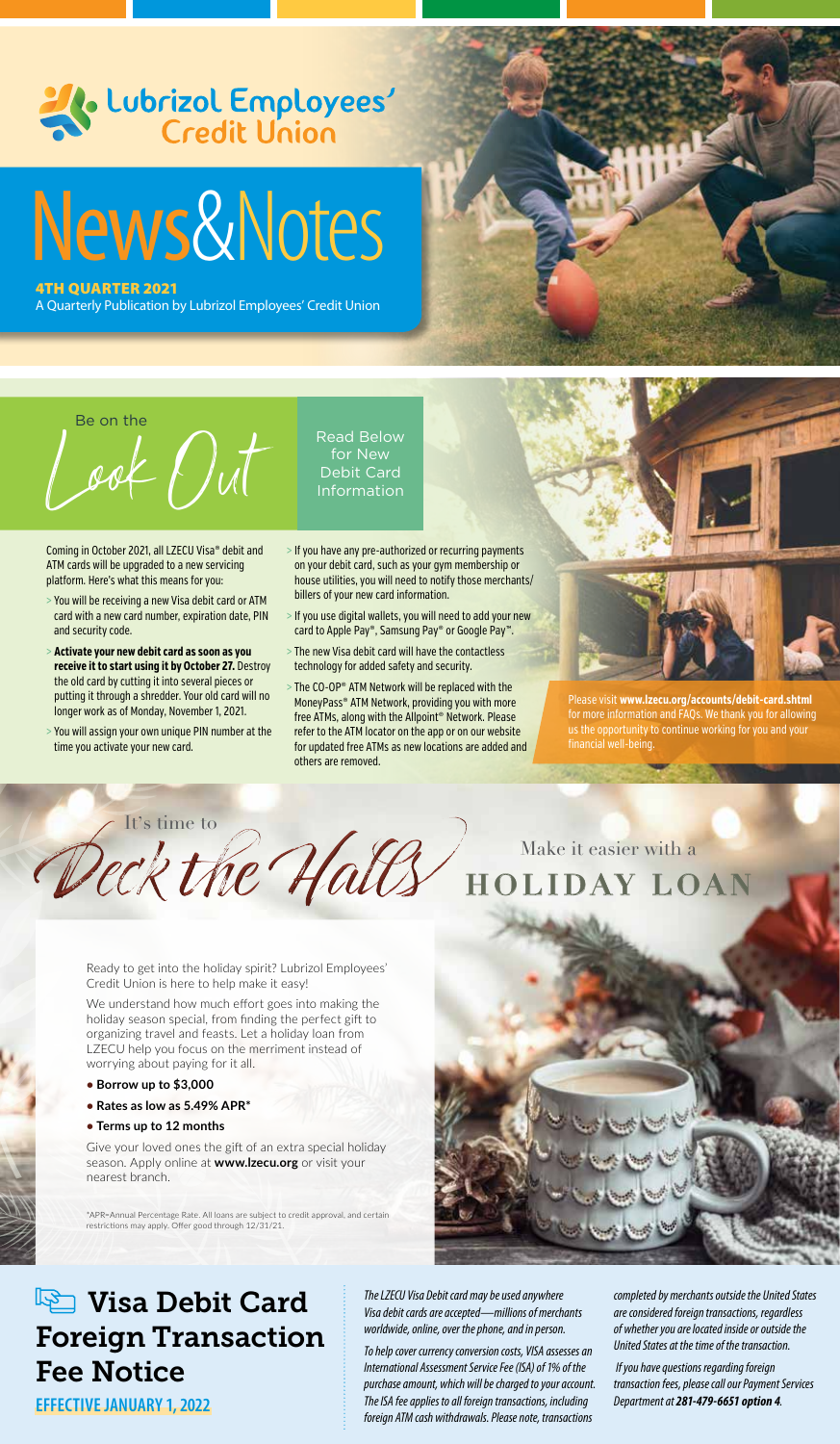

Be on the

Look Out Read Below **for New** Debit Card **Information** 

Coming in October 2021, all LZECU Visa® debit and ATM cards will be upgraded to a new servicing platform. Here's what this means for you:

- > You will be receiving a new Visa debit card or ATM card with a new card number, expiration date, PIN and security code.
- > **Activate your new debit card as soon as you receive it to start using it by October 27.** Destroy the old card by cutting it into several pieces or putting it through a shredder. Your old card will no longer work as of Monday, November 1, 2021.
- > You will assign your own unique PIN number at the time you activate your new card.
- > If you have any pre-authorized or recurring payments on your debit card, such as your gym membership or house utilities, you will need to notify those merchants/ billers of your new card information.
- > If you use digital wallets, you will need to add your new card to Apple Pay®, Samsung Pay® or Google Pay™.
- > The new Visa debit card will have the contactless technology for added safety and security.
- > The CO-OP® ATM Network will be replaced with the MoneyPass® ATM Network, providing you with more free ATMs, along with the Allpoint® Network. Please refer to the ATM locator on the app or on our website for updated free ATMs as new locations are added and others are removed.



Please visit **www.lzecu.org/accounts/debit-card.shtml**  for more information and FAQs. We thank you for allowing us the opportunity to continue working for you and your financial well-being.

Deck the Halls HOLIDAY LO It's time to



Ready to get into the holiday spirit? Lubrizol Employees' Credit Union is here to help make it easy!

We understand how much effort goes into making the holiday season special, from finding the perfect gift to organizing travel and feasts. Let a holiday loan from LZECU help you focus on the merriment instead of worrying about paying for it all.

- **Borrow up to \$3,000**
- **Rates as low as 5.49% APR\***
- **Terms up to 12 months**

Give your loved ones the gift of an extra special holiday season. Apply online at **www.lzecu.org** or visit your nearest branch.

\*APR=Annual Percentage Rate. All loans are subject to credit approval, and certain restrictions may apply. Offer good through 12/31/21.



# **Visa Debit Card** Foreign Transaction Fee Notice

**EFFECTIVE JANUARY 1, 2022**

*The LZECU Visa Debit card may be used anywhere Visa debit cards are accepted—millions of merchants worldwide, online, over the phone, and in person.* 

*To help cover currency conversion costs, VISA assesses an International Assessment Service Fee (ISA) of 1% of the purchase amount, which will be charged to your account. The ISA fee applies to all foreign transactions, including foreign ATM cash withdrawals. Please note, transactions* 

*completed by merchants outside the United States are considered foreign transactions, regardless of whether you are located inside or outside the United States at the time of the transaction.*

 *If you have questions regarding foreign transaction fees, please call our Payment Services Department at 281-479-6651 option 4.*